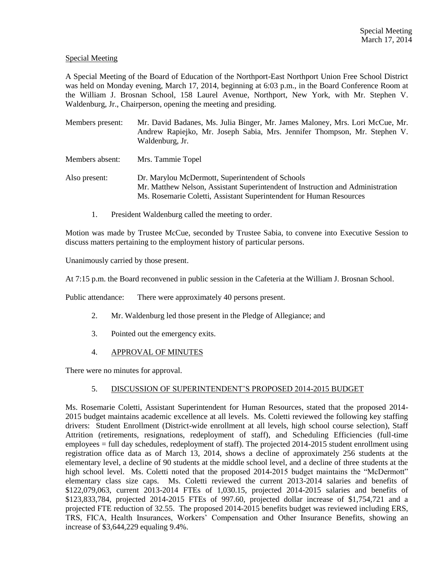# Special Meeting

A Special Meeting of the Board of Education of the Northport-East Northport Union Free School District was held on Monday evening, March 17, 2014, beginning at 6:03 p.m., in the Board Conference Room at the William J. Brosnan School, 158 Laurel Avenue, Northport, New York, with Mr. Stephen V. Waldenburg, Jr., Chairperson, opening the meeting and presiding.

- Members present: Mr. David Badanes, Ms. Julia Binger, Mr. James Maloney, Mrs. Lori McCue, Mr. Andrew Rapiejko, Mr. Joseph Sabia, Mrs. Jennifer Thompson, Mr. Stephen V. Waldenburg, Jr. Members absent: Mrs. Tammie Topel
- Also present: Dr. Marylou McDermott, Superintendent of Schools Mr. Matthew Nelson, Assistant Superintendent of Instruction and Administration Ms. Rosemarie Coletti, Assistant Superintendent for Human Resources
	- 1. President Waldenburg called the meeting to order.

Motion was made by Trustee McCue, seconded by Trustee Sabia, to convene into Executive Session to discuss matters pertaining to the employment history of particular persons.

Unanimously carried by those present.

At 7:15 p.m. the Board reconvened in public session in the Cafeteria at the William J. Brosnan School.

Public attendance: There were approximately 40 persons present.

- 2. Mr. Waldenburg led those present in the Pledge of Allegiance; and
- 3. Pointed out the emergency exits.
- 4. APPROVAL OF MINUTES

There were no minutes for approval.

### 5. DISCUSSION OF SUPERINTENDENT'S PROPOSED 2014-2015 BUDGET

Ms. Rosemarie Coletti, Assistant Superintendent for Human Resources, stated that the proposed 2014- 2015 budget maintains academic excellence at all levels. Ms. Coletti reviewed the following key staffing drivers: Student Enrollment (District-wide enrollment at all levels, high school course selection), Staff Attrition (retirements, resignations, redeployment of staff), and Scheduling Efficiencies (full-time employees = full day schedules, redeployment of staff). The projected 2014-2015 student enrollment using registration office data as of March 13, 2014, shows a decline of approximately 256 students at the elementary level, a decline of 90 students at the middle school level, and a decline of three students at the high school level. Ms. Coletti noted that the proposed 2014-2015 budget maintains the "McDermott" elementary class size caps. Ms. Coletti reviewed the current 2013-2014 salaries and benefits of \$122,079,063, current 2013-2014 FTEs of 1,030.15, projected 2014-2015 salaries and benefits of \$123,833,784, projected 2014-2015 FTEs of 997.60, projected dollar increase of \$1,754,721 and a projected FTE reduction of 32.55. The proposed 2014-2015 benefits budget was reviewed including ERS, TRS, FICA, Health Insurances, Workers' Compensation and Other Insurance Benefits, showing an increase of \$3,644,229 equaling 9.4%.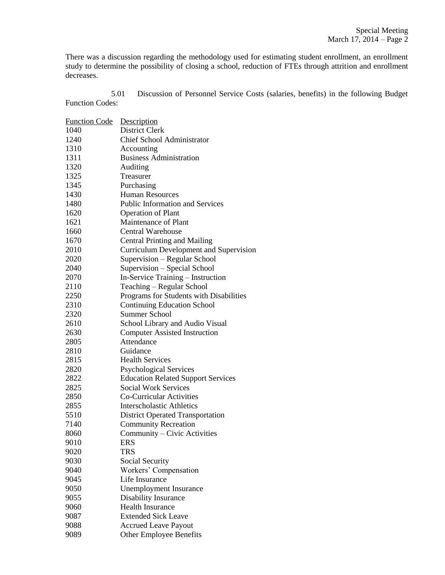There was a discussion regarding the methodology used for estimating student enrollment, an enrollment study to determine the possibility of closing a school, reduction of FTEs through attrition and enrollment decreases.

5.01 Discussion of Personnel Service Costs (salaries, benefits) in the following Budget Function Codes:

| <b>Function Code</b> | Description                                   |
|----------------------|-----------------------------------------------|
| 1040                 | District Clerk                                |
| 1240                 | <b>Chief School Administrator</b>             |
| 1310                 | Accounting                                    |
| 1311                 | <b>Business Administration</b>                |
| 1320                 | Auditing                                      |
| 1325                 | Treasurer                                     |
| 1345                 | Purchasing                                    |
| 1430                 | <b>Human Resources</b>                        |
| 1480                 | <b>Public Information and Services</b>        |
| 1620                 | <b>Operation of Plant</b>                     |
| 1621                 | Maintenance of Plant                          |
| 1660                 | Central Warehouse                             |
| 1670                 | <b>Central Printing and Mailing</b>           |
| 2010                 | <b>Curriculum Development and Supervision</b> |
| 2020                 | Supervision - Regular School                  |
| 2040                 | Supervision - Special School                  |
| 2070                 | In-Service Training - Instruction             |
| 2110                 | Teaching – Regular School                     |
| 2250                 | Programs for Students with Disabilities       |
| 2310                 | <b>Continuing Education School</b>            |
| 2320                 | <b>Summer School</b>                          |
| 2610                 | School Library and Audio Visual               |
| 2630                 | <b>Computer Assisted Instruction</b>          |
| 2805                 | Attendance                                    |
| 2810                 | Guidance                                      |
| 2815                 | <b>Health Services</b>                        |
| 2820                 | <b>Psychological Services</b>                 |
| 2822                 | <b>Education Related Support Services</b>     |
| 2825                 | <b>Social Work Services</b>                   |
| 2850                 | Co-Curricular Activities                      |
| 2855                 | <b>Interscholastic Athletics</b>              |
| 5510                 | <b>District Operated Transportation</b>       |
| 7140                 | <b>Community Recreation</b>                   |
| 8060                 | Community - Civic Activities                  |
| 9010                 | ERS                                           |
| 9020                 | TRS                                           |
| 9030                 | <b>Social Security</b>                        |
| 9040                 | Workers' Compensation                         |
| 9045                 | Life Insurance                                |
| 9050                 | <b>Unemployment Insurance</b>                 |
| 9055                 | Disability Insurance                          |
| 9060                 | <b>Health Insurance</b>                       |
| 9087                 | <b>Extended Sick Leave</b>                    |
| 9088                 | <b>Accrued Leave Payout</b>                   |
| 9089                 | <b>Other Employee Benefits</b>                |
|                      |                                               |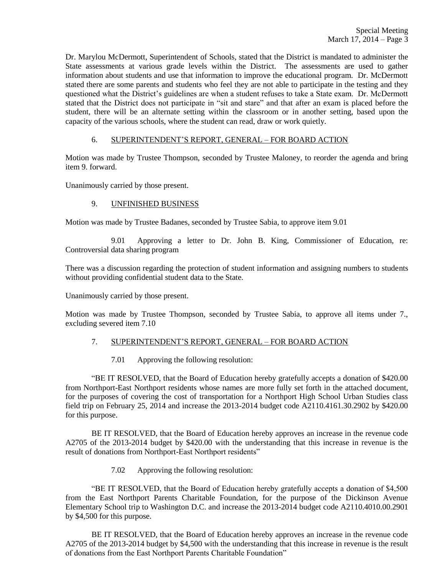Dr. Marylou McDermott, Superintendent of Schools, stated that the District is mandated to administer the State assessments at various grade levels within the District. The assessments are used to gather information about students and use that information to improve the educational program. Dr. McDermott stated there are some parents and students who feel they are not able to participate in the testing and they questioned what the District's guidelines are when a student refuses to take a State exam. Dr. McDermott stated that the District does not participate in "sit and stare" and that after an exam is placed before the student, there will be an alternate setting within the classroom or in another setting, based upon the capacity of the various schools, where the student can read, draw or work quietly.

# 6. SUPERINTENDENT'S REPORT, GENERAL – FOR BOARD ACTION

Motion was made by Trustee Thompson, seconded by Trustee Maloney, to reorder the agenda and bring item 9. forward.

Unanimously carried by those present.

### 9. UNFINISHED BUSINESS

Motion was made by Trustee Badanes, seconded by Trustee Sabia, to approve item 9.01

9.01 Approving a letter to Dr. John B. King, Commissioner of Education, re: Controversial data sharing program

There was a discussion regarding the protection of student information and assigning numbers to students without providing confidential student data to the State.

Unanimously carried by those present.

Motion was made by Trustee Thompson, seconded by Trustee Sabia, to approve all items under 7., excluding severed item 7.10

# 7. SUPERINTENDENT'S REPORT, GENERAL – FOR BOARD ACTION

7.01 Approving the following resolution:

"BE IT RESOLVED, that the Board of Education hereby gratefully accepts a donation of \$420.00 from Northport-East Northport residents whose names are more fully set forth in the attached document, for the purposes of covering the cost of transportation for a Northport High School Urban Studies class field trip on February 25, 2014 and increase the 2013-2014 budget code A2110.4161.30.2902 by \$420.00 for this purpose.

BE IT RESOLVED, that the Board of Education hereby approves an increase in the revenue code A2705 of the 2013-2014 budget by \$420.00 with the understanding that this increase in revenue is the result of donations from Northport-East Northport residents"

7.02 Approving the following resolution:

"BE IT RESOLVED, that the Board of Education hereby gratefully accepts a donation of \$4,500 from the East Northport Parents Charitable Foundation, for the purpose of the Dickinson Avenue Elementary School trip to Washington D.C. and increase the 2013-2014 budget code A2110.4010.00.2901 by \$4,500 for this purpose.

BE IT RESOLVED, that the Board of Education hereby approves an increase in the revenue code A2705 of the 2013-2014 budget by \$4,500 with the understanding that this increase in revenue is the result of donations from the East Northport Parents Charitable Foundation"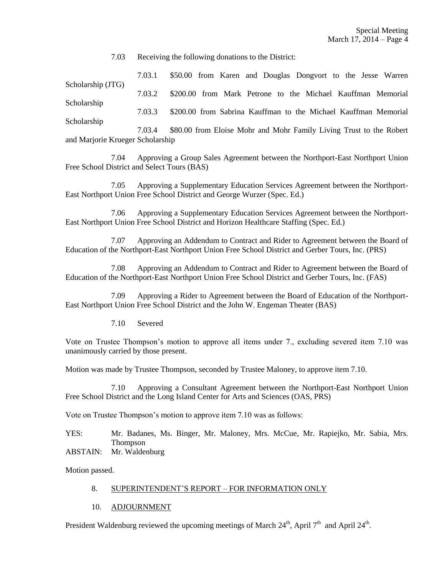7.03 Receiving the following donations to the District:

7.03.1 \$50.00 from Karen and Douglas Dongvort to the Jesse Warren Scholarship (JTG) 7.03.2 \$200.00 from Mark Petrone to the Michael Kauffman Memorial Scholarship 7.03.3 \$200.00 from Sabrina Kauffman to the Michael Kauffman Memorial Scholarship 7.03.4 \$80.00 from Eloise Mohr and Mohr Family Living Trust to the Robert

and Marjorie Krueger Scholarship

7.04 Approving a Group Sales Agreement between the Northport-East Northport Union Free School District and Select Tours (BAS)

7.05 Approving a Supplementary Education Services Agreement between the Northport-East Northport Union Free School District and George Wurzer (Spec. Ed.)

7.06 Approving a Supplementary Education Services Agreement between the Northport-East Northport Union Free School District and Horizon Healthcare Staffing (Spec. Ed.)

7.07 Approving an Addendum to Contract and Rider to Agreement between the Board of Education of the Northport-East Northport Union Free School District and Gerber Tours, Inc. (PRS)

7.08 Approving an Addendum to Contract and Rider to Agreement between the Board of Education of the Northport-East Northport Union Free School District and Gerber Tours, Inc. (FAS)

7.09 Approving a Rider to Agreement between the Board of Education of the Northport-East Northport Union Free School District and the John W. Engeman Theater (BAS)

7.10 Severed

Vote on Trustee Thompson's motion to approve all items under 7., excluding severed item 7.10 was unanimously carried by those present.

Motion was made by Trustee Thompson, seconded by Trustee Maloney, to approve item 7.10.

7.10 Approving a Consultant Agreement between the Northport-East Northport Union Free School District and the Long Island Center for Arts and Sciences (OAS, PRS)

Vote on Trustee Thompson's motion to approve item 7.10 was as follows:

YES: Mr. Badanes, Ms. Binger, Mr. Maloney, Mrs. McCue, Mr. Rapiejko, Mr. Sabia, Mrs. Thompson ABSTAIN: Mr. Waldenburg

Motion passed.

# 8. SUPERINTENDENT'S REPORT – FOR INFORMATION ONLY

### 10. ADJOURNMENT

President Waldenburg reviewed the upcoming meetings of March  $24<sup>th</sup>$ , April 7<sup>th</sup> and April  $24<sup>th</sup>$ .